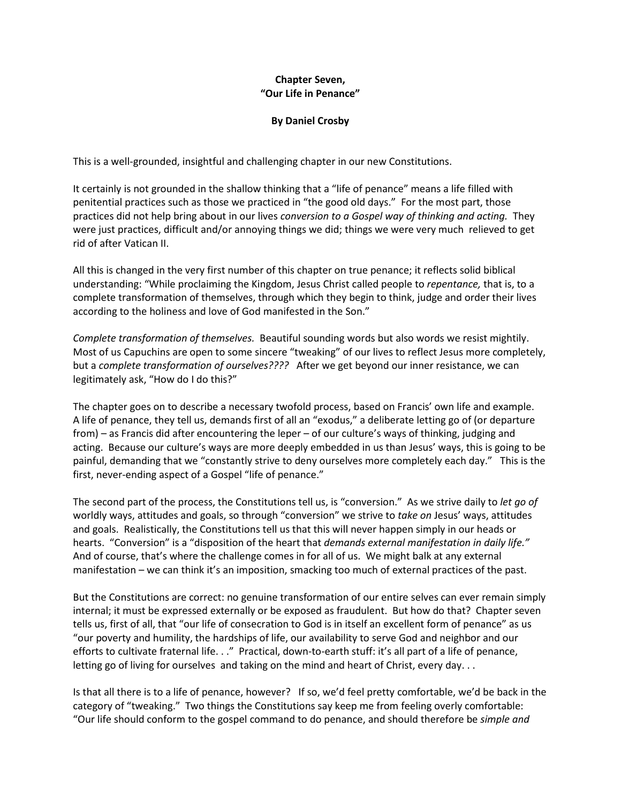## **Chapter Seven, "Our Life in Penance"**

## **By Daniel Crosby**

This is a well-grounded, insightful and challenging chapter in our new Constitutions.

It certainly is not grounded in the shallow thinking that a "life of penance" means a life filled with penitential practices such as those we practiced in "the good old days." For the most part, those practices did not help bring about in our lives *conversion to a Gospel way of thinking and acting.* They were just practices, difficult and/or annoying things we did; things we were very much relieved to get rid of after Vatican II.

All this is changed in the very first number of this chapter on true penance; it reflects solid biblical understanding: "While proclaiming the Kingdom, Jesus Christ called people to *repentance,* that is, to a complete transformation of themselves, through which they begin to think, judge and order their lives according to the holiness and love of God manifested in the Son."

*Complete transformation of themselves.* Beautiful sounding words but also words we resist mightily. Most of us Capuchins are open to some sincere "tweaking" of our lives to reflect Jesus more completely, but a *complete transformation of ourselves????* After we get beyond our inner resistance, we can legitimately ask, "How do I do this?"

The chapter goes on to describe a necessary twofold process, based on Francis' own life and example. A life of penance, they tell us, demands first of all an "exodus," a deliberate letting go of (or departure from) – as Francis did after encountering the leper – of our culture's ways of thinking, judging and acting. Because our culture's ways are more deeply embedded in us than Jesus' ways, this is going to be painful, demanding that we "constantly strive to deny ourselves more completely each day." This is the first, never-ending aspect of a Gospel "life of penance."

The second part of the process, the Constitutions tell us, is "conversion." As we strive daily to *let go of* worldly ways, attitudes and goals, so through "conversion" we strive to *take on* Jesus' ways, attitudes and goals. Realistically, the Constitutions tell us that this will never happen simply in our heads or hearts. "Conversion" is a "disposition of the heart that *demands external manifestation in daily life."* And of course, that's where the challenge comes in for all of us. We might balk at any external manifestation – we can think it's an imposition, smacking too much of external practices of the past.

But the Constitutions are correct: no genuine transformation of our entire selves can ever remain simply internal; it must be expressed externally or be exposed as fraudulent. But how do that? Chapter seven tells us, first of all, that "our life of consecration to God is in itself an excellent form of penance" as us "our poverty and humility, the hardships of life, our availability to serve God and neighbor and our efforts to cultivate fraternal life. . ." Practical, down-to-earth stuff: it's all part of a life of penance, letting go of living for ourselves and taking on the mind and heart of Christ, every day. . .

Is that all there is to a life of penance, however? If so, we'd feel pretty comfortable, we'd be back in the category of "tweaking." Two things the Constitutions say keep me from feeling overly comfortable: "Our life should conform to the gospel command to do penance, and should therefore be *simple and*